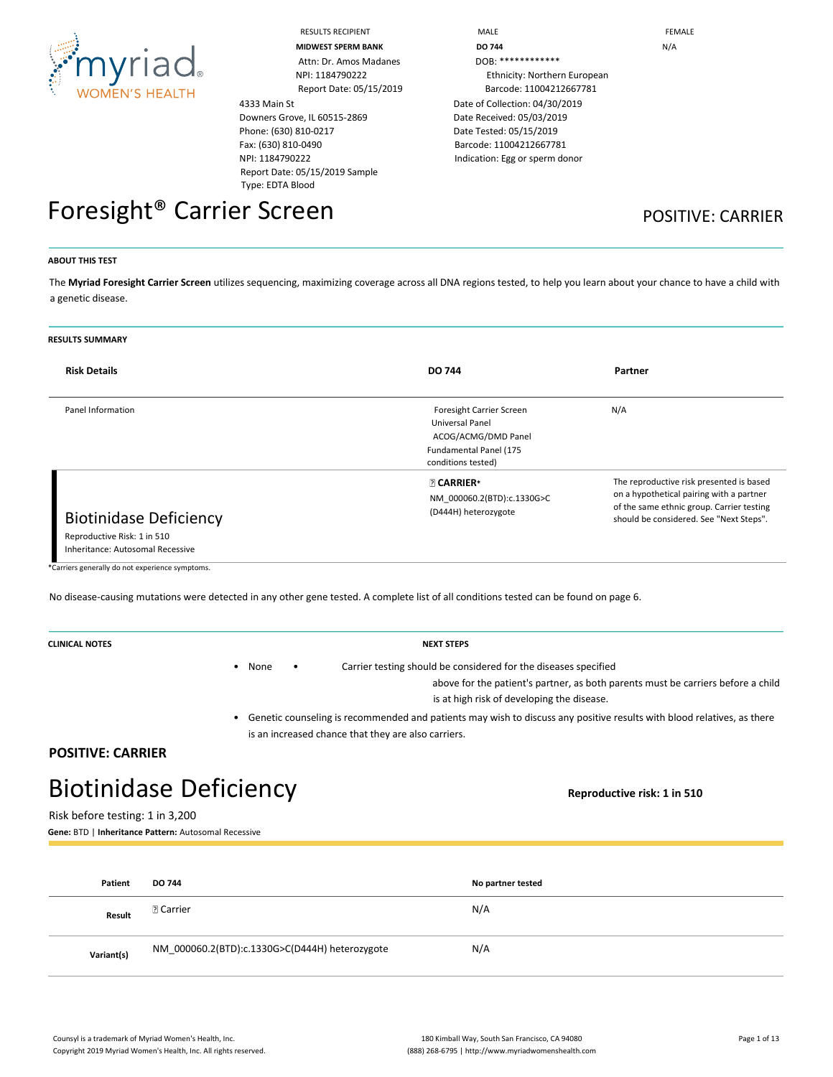

Attn: Dr. Amos Madanes NPI: 1184790222 Report Date: 05/15/2019

# 4333 Main St Downers Grove, IL 60515-2869 Phone: (630) 810-0217 Fax: (630) 810-0490

### NPI: 1184790222 Report Date: 05/15/2019 Sample Type: EDTA Blood

| <b>RESULTS RECIPIENT</b>  | MALE                           | FEMALE |
|---------------------------|--------------------------------|--------|
| <b>MIDWEST SPERM BANK</b> | <b>DO 744</b>                  | N/A    |
| Attn: Dr. Amos Madanes    | DOB: *************             |        |
| NPI: 1184790222           | Ethnicity: Northern European   |        |
| Report Date: 05/15/2019   | Barcode: 11004212667781        |        |
|                           | Date of Collection: 04/30/2019 |        |
| ve, IL 60515-2869         | Date Received: 05/03/2019      |        |
| 810-0217                  | Date Tested: 05/15/2019        |        |
| 0-0490                    | Barcode: 11004212667781        |        |
| 1222                      | Indication: Egg or sperm donor |        |
| __ _ _ _ _ _ _ _ _        |                                |        |

# Foresight<sup>®</sup> Carrier Screen **POSITIVE: CARRIER**

#### **ABOUT THIS TEST**

The **Myriad Foresight Carrier Screen** utilizes sequencing, maximizing coverage across all DNA regions tested, to help you learn about your chance to have a child with a genetic disease.

#### **RESULTS SUMMARY**

| <b>Risk Details</b>                                                                              | <b>DO 744</b>                                                                                                      | Partner                                                                                                                                                                      |
|--------------------------------------------------------------------------------------------------|--------------------------------------------------------------------------------------------------------------------|------------------------------------------------------------------------------------------------------------------------------------------------------------------------------|
| Panel Information                                                                                | Foresight Carrier Screen<br>Universal Panel<br>ACOG/ACMG/DMD Panel<br>Fundamental Panel (175<br>conditions tested) | N/A                                                                                                                                                                          |
| <b>Biotinidase Deficiency</b><br>Reproductive Risk: 1 in 510<br>Inheritance: Autosomal Recessive | <b>27 CARRIER*</b><br>NM 000060.2(BTD):c.1330G>C<br>(D444H) heterozygote                                           | The reproductive risk presented is based<br>on a hypothetical pairing with a partner<br>of the same ethnic group. Carrier testing<br>should be considered. See "Next Steps". |

\*Carriers generally do not experience symptoms.

No disease-causing mutations were detected in any other gene tested. A complete list of all conditions tested can be found on page 6.

| <b>CLINICAL NOTES</b> | <b>NEXT STEPS</b>                                                                |
|-----------------------|----------------------------------------------------------------------------------|
|                       | Carrier testing should be considered for the diseases specified<br>None          |
|                       | above for the patient's partner, as both parents must be carriers before a child |
|                       | is at high risk of developing the disease.                                       |
|                       |                                                                                  |

• Genetic counseling is recommended and patients may wish to discuss any positive results with blood relatives, as there is an increased chance that they are also carriers.

### **POSITIVE: CARRIER**

# Biotinidase Deficiency **Reproductive risk: 1 in 510**

Risk before testing: 1 in 3,200

**Gene:** BTD | **Inheritance Pattern:** Autosomal Recessive

| Patient    | <b>DO 744</b>                                  | No partner tested |
|------------|------------------------------------------------|-------------------|
| Result     | <b>D</b> Carrier                               | N/A               |
| Variant(s) | NM_000060.2(BTD):c.1330G>C(D444H) heterozygote | N/A               |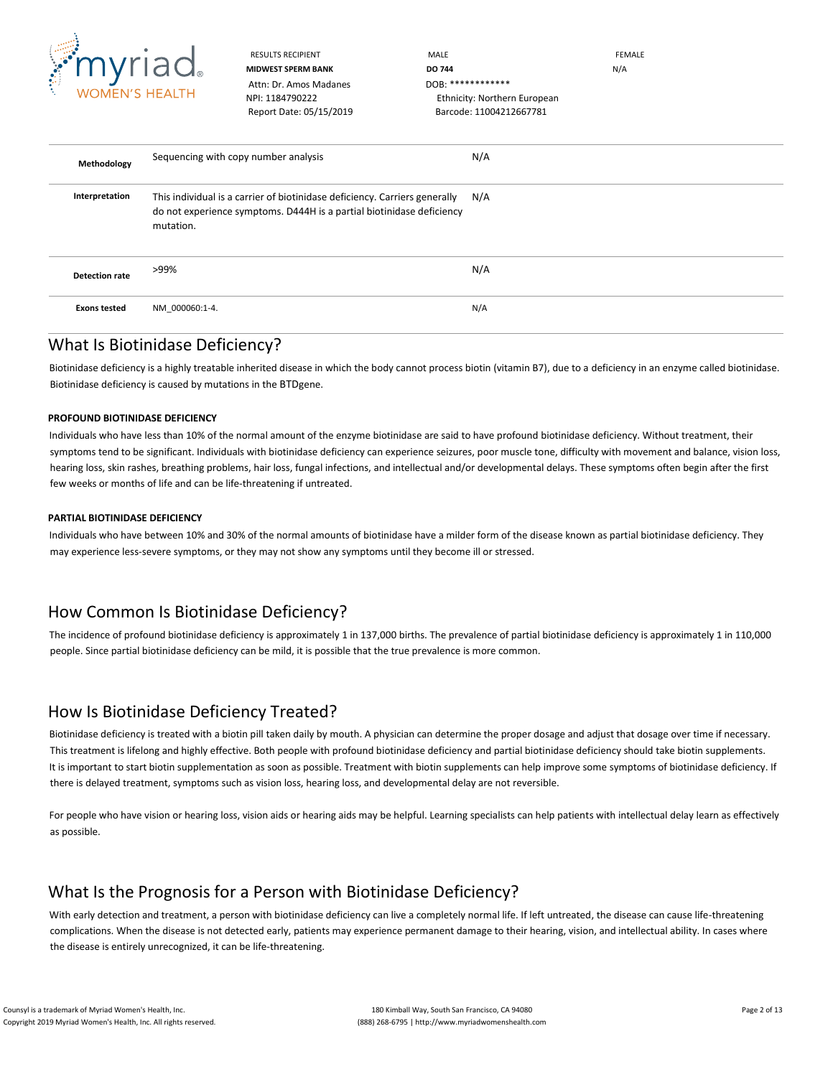

RESULTS RECIPIENT **MALE** MALE **MALE EEMALE MIDWEST SPERM BANK DO 744 DO** 744 NPI: 1184790222 Ethnicity: Northern European Report Date: 05/15/2019 Barcode: 11004212667781

**Methodology** Sequencing with copy number analysis N/A **Interpretation** This individual is a carrier of biotinidase deficiency. Carriers generally do not experience symptoms. D444H is a partial biotinidase deficiency mutation. N/A **Detection rate** >99% N/A **Exons tested** NM\_000060:1-4. N/A

### What Is Biotinidase Deficiency?

Biotinidase deficiency is a highly treatable inherited disease in which the body cannot process biotin (vitamin B7), due to a deficiency in an enzyme called biotinidase. Biotinidase deficiency is caused by mutations in the BTDgene.

### **PROFOUND BIOTINIDASE DEFICIENCY**

Individuals who have less than 10% of the normal amount of the enzyme biotinidase are said to have profound biotinidase deficiency. Without treatment, their symptoms tend to be significant. Individuals with biotinidase deficiency can experience seizures, poor muscle tone, difficulty with movement and balance, vision loss, hearing loss, skin rashes, breathing problems, hair loss, fungal infections, and intellectual and/or developmental delays. These symptoms often begin after the first few weeks or months of life and can be life-threatening if untreated.

### **PARTIAL BIOTINIDASE DEFICIENCY**

Individuals who have between 10% and 30% of the normal amounts of biotinidase have a milder form of the disease known as partial biotinidase deficiency. They may experience less-severe symptoms, or they may not show any symptoms until they become ill or stressed.

# How Common Is Biotinidase Deficiency?

The incidence of profound biotinidase deficiency is approximately 1 in 137,000 births. The prevalence of partial biotinidase deficiency is approximately 1 in 110,000 people. Since partial biotinidase deficiency can be mild, it is possible that the true prevalence is more common.

# How Is Biotinidase Deficiency Treated?

Biotinidase deficiency is treated with a biotin pill taken daily by mouth. A physician can determine the proper dosage and adjust that dosage over time if necessary. This treatment is lifelong and highly effective. Both people with profound biotinidase deficiency and partial biotinidase deficiency should take biotin supplements. It is important to start biotin supplementation as soon as possible. Treatment with biotin supplements can help improve some symptoms of biotinidase deficiency. If there is delayed treatment, symptoms such as vision loss, hearing loss, and developmental delay are not reversible.

For people who have vision or hearing loss, vision aids or hearing aids may be helpful. Learning specialists can help patients with intellectual delay learn as effectively as possible.

# What Is the Prognosis for a Person with Biotinidase Deficiency?

With early detection and treatment, a person with biotinidase deficiency can live a completely normal life. If left untreated, the disease can cause life-threatening complications. When the disease is not detected early, patients may experience permanent damage to their hearing, vision, and intellectual ability. In cases where the disease is entirely unrecognized, it can be life-threatening.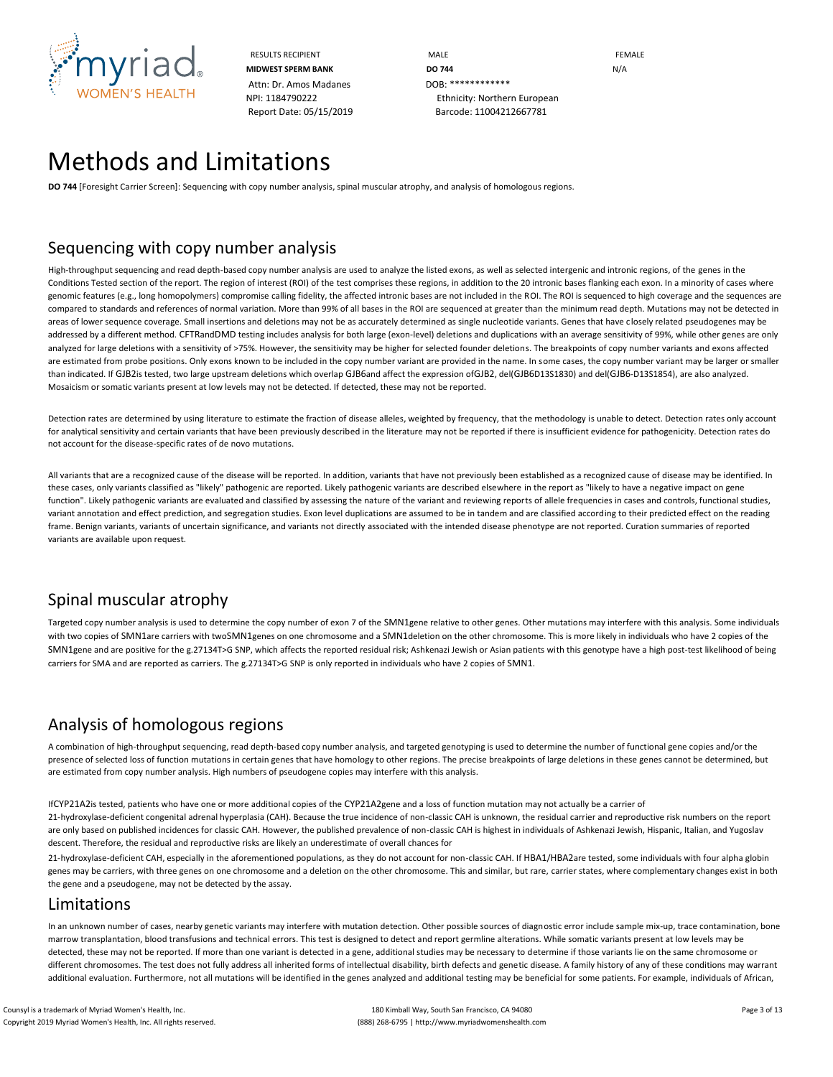

RESULTS RECIPIENT **MALE MALE EXAMPLE MIDWEST SPERM BANK DO 744 DO** 744 NPI: 1184790222 Ethnicity: Northern European Report Date: 05/15/2019 Barcode: 11004212667781

# Methods and Limitations

**DO 744** [Foresight Carrier Screen]: Sequencing with copy number analysis, spinal muscular atrophy, and analysis of homologous regions.

### Sequencing with copy number analysis

High-throughput sequencing and read depth-based copy number analysis are used to analyze the listed exons, as well as selected intergenic and intronic regions, of the genes in the Conditions Tested section of the report. The region of interest (ROI) of the test comprises these regions, in addition to the 20 intronic bases flanking each exon. In a minority of cases where genomic features (e.g., long homopolymers) compromise calling fidelity, the affected intronic bases are not included in the ROI. The ROI is sequenced to high coverage and the sequences are compared to standards and references of normal variation. More than 99% of all bases in the ROI are sequenced at greater than the minimum read depth. Mutations may not be detected in areas of lower sequence coverage. Small insertions and deletions may not be as accurately determined as single nucleotide variants. Genes that have closely related pseudogenes may be addressed by a different method. CFTRandDMD testing includes analysis for both large (exon-level) deletions and duplications with an average sensitivity of 99%, while other genes are only analyzed for large deletions with a sensitivity of >75%. However, the sensitivity may be higher for selected founder deletions. The breakpoints of copy number variants and exons affected are estimated from probe positions. Only exons known to be included in the copy number variant are provided in the name. In some cases, the copy number variant may be larger or smaller than indicated. If GJB2is tested, two large upstream deletions which overlap GJB6and affect the expression ofGJB2, del(GJB6D13S1830) and del(GJB6-D13S1854), are also analyzed. Mosaicism or somatic variants present at low levels may not be detected. If detected, these may not be reported.

Detection rates are determined by using literature to estimate the fraction of disease alleles, weighted by frequency, that the methodology is unable to detect. Detection rates only account for analytical sensitivity and certain variants that have been previously described in the literature may not be reported if there is insufficient evidence for pathogenicity. Detection rates do not account for the disease-specific rates of de novo mutations.

All variants that are a recognized cause of the disease will be reported. In addition, variants that have not previously been established as a recognized cause of disease may be identified. In these cases, only variants classified as "likely" pathogenic are reported. Likely pathogenic variants are described elsewhere in the report as "likely to have a negative impact on gene function". Likely pathogenic variants are evaluated and classified by assessing the nature of the variant and reviewing reports of allele frequencies in cases and controls, functional studies, variant annotation and effect prediction, and segregation studies. Exon level duplications are assumed to be in tandem and are classified according to their predicted effect on the reading frame. Benign variants, variants of uncertain significance, and variants not directly associated with the intended disease phenotype are not reported. Curation summaries of reported variants are available upon request.

# Spinal muscular atrophy

Targeted copy number analysis is used to determine the copy number of exon 7 of the SMN1gene relative to other genes. Other mutations may interfere with this analysis. Some individuals with two copies of SMN1are carriers with twoSMN1genes on one chromosome and a SMN1deletion on the other chromosome. This is more likely in individuals who have 2 copies of the SMN1gene and are positive for the g.27134T>G SNP, which affects the reported residual risk; Ashkenazi Jewish or Asian patients with this genotype have a high post-test likelihood of being carriers for SMA and are reported as carriers. The g.27134T>G SNP is only reported in individuals who have 2 copies of SMN1.

# Analysis of homologous regions

A combination of high-throughput sequencing, read depth-based copy number analysis, and targeted genotyping is used to determine the number of functional gene copies and/or the presence of selected loss of function mutations in certain genes that have homology to other regions. The precise breakpoints of large deletions in these genes cannot be determined, but are estimated from copy number analysis. High numbers of pseudogene copies may interfere with this analysis.

IfCYP21A2is tested, patients who have one or more additional copies of the CYP21A2gene and a loss of function mutation may not actually be a carrier of 21-hydroxylase-deficient congenital adrenal hyperplasia (CAH). Because the true incidence of non-classic CAH is unknown, the residual carrier and reproductive risk numbers on the report are only based on published incidences for classic CAH. However, the published prevalence of non-classic CAH is highest in individuals of Ashkenazi Jewish, Hispanic, Italian, and Yugoslav descent. Therefore, the residual and reproductive risks are likely an underestimate of overall chances for

21-hydroxylase-deficient CAH, especially in the aforementioned populations, as they do not account for non-classic CAH. If HBA1/HBA2are tested, some individuals with four alpha globin genes may be carriers, with three genes on one chromosome and a deletion on the other chromosome. This and similar, but rare, carrier states, where complementary changes exist in both the gene and a pseudogene, may not be detected by the assay.

### Limitations

In an unknown number of cases, nearby genetic variants may interfere with mutation detection. Other possible sources of diagnostic error include sample mix-up, trace contamination, bone marrow transplantation, blood transfusions and technical errors. This test is designed to detect and report germline alterations. While somatic variants present at low levels may be detected, these may not be reported. If more than one variant is detected in a gene, additional studies may be necessary to determine if those variants lie on the same chromosome or different chromosomes. The test does not fully address all inherited forms of intellectual disability, birth defects and genetic disease. A family history of any of these conditions may warrant additional evaluation. Furthermore, not all mutations will be identified in the genes analyzed and additional testing may be beneficial for some patients. For example, individuals of African,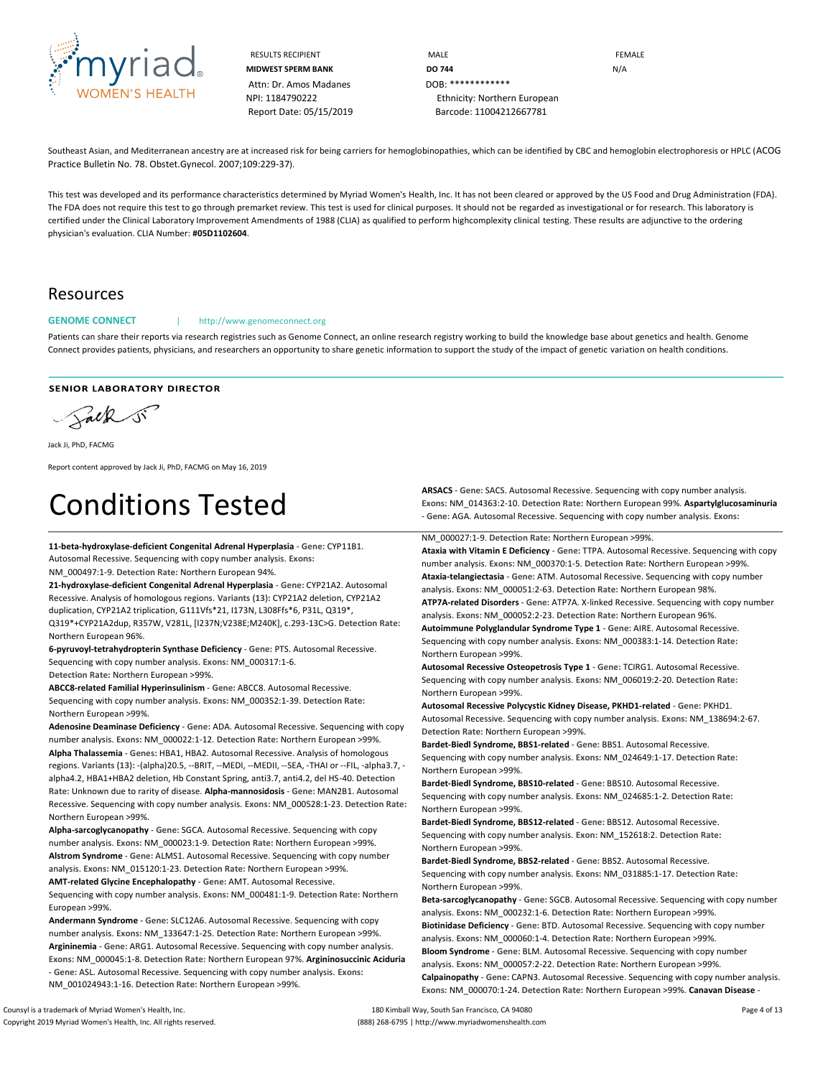

RESULTS RECIPIENT **MALE** MALE **MALE EEMALE MIDWEST SPERM BANK DO 744 DO** 744 NPI: 1184790222 Ethnicity: Northern European Report Date: 05/15/2019 Barcode: 11004212667781

Southeast Asian, and Mediterranean ancestry are at increased risk for being carriers for hemoglobinopathies, which can be identified by CBC and hemoglobin electrophoresis or HPLC (ACOG Practice Bulletin No. 78. Obstet.Gynecol. 2007;109:229-37).

This test was developed and its performance characteristics determined by Myriad Women's Health, Inc. It has not been cleared or approved by the US Food and Drug Administration (FDA). The FDA does not require this test to go through premarket review. This test is used for clinical purposes. It should not be regarded as investigational or for research. This laboratory is certified under the Clinical Laboratory Improvement Amendments of 1988 (CLIA) as qualified to perform highcomplexity clinical testing. These results are adjunctive to the ordering physician's evaluation. CLIA Number: **#05D1102604**.

### Resources

#### GENOME CONNECT | http://www.genomeconnect.org

Patients can share their reports via research registries such as Genome Connect, an online research registry working to build the knowledge base about genetics and health. Genome Connect provides patients, physicians, and researchers an opportunity to share genetic information to support the study of the impact of genetic variation on health conditions.

#### **SENIOR LABORATORY DIRECTOR**

Salk si

Jack Ji, PhD, FACMG

Report content approved by Jack Ji, PhD, FACMG on May 16, 2019

# Conditions Tested

**11-beta-hydroxylase-deficient Congenital Adrenal Hyperplasia** - **Gene:** CYP11B1. Autosomal Recessive. Sequencing with copy number analysis. **Exons:** NM\_000497:1-9. **Detection Rate:** Northern European 94%.

**21-hydroxylase-deficient Congenital Adrenal Hyperplasia** - **Gene:** CYP21A2. Autosomal Recessive. Analysis of homologous regions. **Variants (13):** CYP21A2 deletion, CYP21A2 duplication, CYP21A2 triplication, G111Vfs\*21, I173N, L308Ffs\*6, P31L, Q319\*, Q319\*+CYP21A2dup, R357W, V281L, [I237N;V238E;M240K], c.293-13C>G. **Detection Rate:**  Northern European 96%.

**6-pyruvoyl-tetrahydropterin Synthase Deficiency** - **Gene:** PTS. Autosomal Recessive. Sequencing with copy number analysis. **Exons:** NM\_000317:1-6. **Detection Rate:** Northern European >99%.

**ABCC8-related Familial Hyperinsulinism** - **Gene:** ABCC8. Autosomal Recessive. Sequencing with copy number analysis. **Exons:** NM\_000352:1-39. **Detection Rate:** Northern European >99%.

**Adenosine Deaminase Deficiency** - **Gene:** ADA. Autosomal Recessive. Sequencing with copy number analysis. **Exons:** NM\_000022:1-12. **Detection Rate:** Northern European >99%. **Alpha Thalassemia** - **Genes:** HBA1, HBA2. Autosomal Recessive. Analysis of homologous regions. **Variants (13):** -(alpha)20.5, --BRIT, --MEDI, --MEDII, --SEA, -THAI or --FIL, -alpha3.7, alpha4.2, HBA1+HBA2 deletion, Hb Constant Spring, anti3.7, anti4.2, del HS-40. **Detection Rate:** Unknown due to rarity of disease. **Alpha-mannosidosis** - **Gene:** MAN2B1. Autosomal Recessive. Sequencing with copy number analysis. **Exons:** NM\_000528:1-23. **Detection Rate:**  Northern European >99%.

**Alpha-sarcoglycanopathy** - **Gene:** SGCA. Autosomal Recessive. Sequencing with copy number analysis. **Exons:** NM\_000023:1-9. **Detection Rate:** Northern European >99%. **Alstrom Syndrome** - **Gene:** ALMS1. Autosomal Recessive. Sequencing with copy number analysis. **Exons:** NM\_015120:1-23. **Detection Rate:** Northern European >99%. **AMT-related Glycine Encephalopathy** - **Gene:** AMT. Autosomal Recessive. Sequencing with copy number analysis. **Exons:** NM\_000481:1-9. **Detection Rate:** Northern European >99%.

**Andermann Syndrome** - **Gene:** SLC12A6. Autosomal Recessive. Sequencing with copy number analysis. **Exons:** NM\_133647:1-25. **Detection Rate:** Northern European >99%. **Argininemia** - **Gene:** ARG1. Autosomal Recessive. Sequencing with copy number analysis. **Exons:** NM\_000045:1-8. **Detection Rate:** Northern European 97%. **Argininosuccinic Aciduria**  - **Gene:** ASL. Autosomal Recessive. Sequencing with copy number analysis. **Exons:**  NM\_001024943:1-16. **Detection Rate:** Northern European >99%.

**ARSACS** - **Gene:** SACS. Autosomal Recessive. Sequencing with copy number analysis. **Exons:** NM\_014363:2-10. **Detection Rate:** Northern European 99%. **Aspartylglucosaminuria**  - **Gene:** AGA. Autosomal Recessive. Sequencing with copy number analysis. **Exons:** 

NM\_000027:1-9. **Detection Rate:** Northern European >99%.

**Ataxia with Vitamin E Deficiency** - **Gene:** TTPA. Autosomal Recessive. Sequencing with copy number analysis. **Exons:** NM\_000370:1-5. **Detection Rate:** Northern European >99%. **Ataxia-telangiectasia** - **Gene:** ATM. Autosomal Recessive. Sequencing with copy number analysis. **Exons:** NM\_000051:2-63. **Detection Rate:** Northern European 98%. **ATP7A-related Disorders** - **Gene:** ATP7A. X-linked Recessive. Sequencing with copy number

analysis. **Exons:** NM\_000052:2-23. **Detection Rate:** Northern European 96%. **Autoimmune Polyglandular Syndrome Type 1** - **Gene:** AIRE. Autosomal Recessive.

Sequencing with copy number analysis. **Exons:** NM\_000383:1-14. **Detection Rate:** Northern European >99%.

**Autosomal Recessive Osteopetrosis Type 1** - **Gene:** TCIRG1. Autosomal Recessive. Sequencing with copy number analysis. **Exons:** NM\_006019:2-20. **Detection Rate:** Northern European >99%.

**Autosomal Recessive Polycystic Kidney Disease, PKHD1-related** - **Gene:** PKHD1. Autosomal Recessive. Sequencing with copy number analysis. **Exons:** NM\_138694:2-67. **Detection Rate:** Northern European >99%.

**Bardet-Biedl Syndrome, BBS1-related** - **Gene:** BBS1. Autosomal Recessive. Sequencing with copy number analysis. **Exons:** NM\_024649:1-17. **Detection Rate:** Northern European >99%.

**Bardet-Biedl Syndrome, BBS10-related** - **Gene:** BBS10. Autosomal Recessive. Sequencing with copy number analysis. **Exons:** NM\_024685:1-2. **Detection Rate:** Northern European >99%.

**Bardet-Biedl Syndrome, BBS12-related** - **Gene:** BBS12. Autosomal Recessive. Sequencing with copy number analysis. **Exon:** NM\_152618:2. **Detection Rate:** Northern European >99%.

**Bardet-Biedl Syndrome, BBS2-related** - **Gene:** BBS2. Autosomal Recessive. Sequencing with copy number analysis. **Exons:** NM\_031885:1-17. **Detection Rate:** Northern European >99%.

**Beta-sarcoglycanopathy** - **Gene:** SGCB. Autosomal Recessive. Sequencing with copy number analysis. **Exons:** NM\_000232:1-6. **Detection Rate:** Northern European >99%. **Biotinidase Deficiency** - **Gene:** BTD. Autosomal Recessive. Sequencing with copy number analysis. **Exons:** NM\_000060:1-4. **Detection Rate:** Northern European >99%. **Bloom Syndrome** - **Gene:** BLM. Autosomal Recessive. Sequencing with copy number analysis. **Exons:** NM\_000057:2-22. **Detection Rate:** Northern European >99%. **Calpainopathy** - **Gene:** CAPN3. Autosomal Recessive. Sequencing with copy number analysis. **Exons:** NM\_000070:1-24. **Detection Rate:** Northern European >99%. **Canavan Disease** -

Counsyl is a trademark of Myriad Women's Health, Inc. 180 Kimball Way, South San Francisco, CA 94080 Page 4 of 13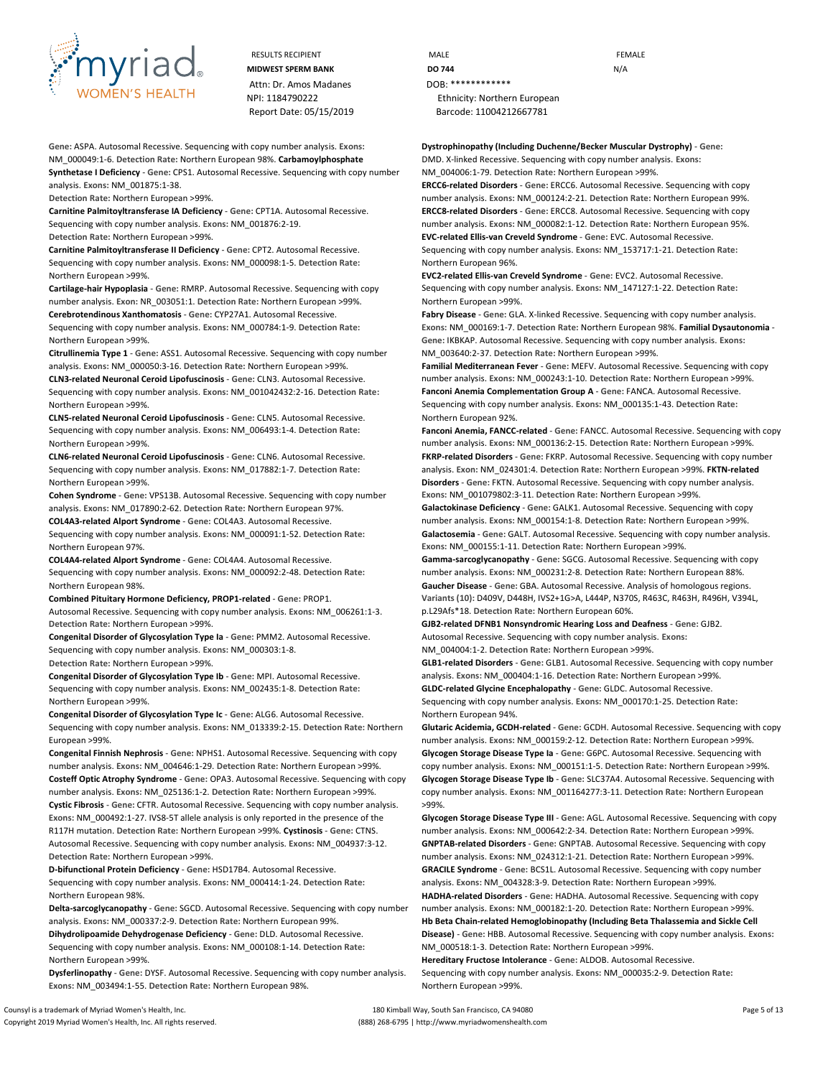

Attn: Dr. Amos Madanes DOB: \*\*\*\*\*\*\*\*\*\*\*\*\* Report Date: 05/15/2019 Barcode: 11004212667781

**Gene:** ASPA. Autosomal Recessive. Sequencing with copy number analysis. **Exons:**  NM\_000049:1-6. **Detection Rate:** Northern European 98%. **Carbamoylphosphate Synthetase I Deficiency** - **Gene:** CPS1. Autosomal Recessive. Sequencing with copy number analysis. **Exons:** NM\_001875:1-38.

**Detection Rate:** Northern European >99%.

**Carnitine Palmitoyltransferase IA Deficiency** - **Gene:** CPT1A. Autosomal Recessive. Sequencing with copy number analysis. **Exons:** NM\_001876:2-19. **Detection Rate:** Northern European >99%.

**Carnitine Palmitoyltransferase II Deficiency** - **Gene:** CPT2. Autosomal Recessive. Sequencing with copy number analysis. **Exons:** NM\_000098:1-5. **Detection Rate:** Northern European >99%.

**Cartilage-hair Hypoplasia** - **Gene:** RMRP. Autosomal Recessive. Sequencing with copy number analysis. **Exon:** NR\_003051:1. **Detection Rate:** Northern European >99%. **Cerebrotendinous Xanthomatosis** - **Gene:** CYP27A1. Autosomal Recessive.

Sequencing with copy number analysis. **Exons:** NM\_000784:1-9. **Detection Rate:** Northern European >99%.

**Citrullinemia Type 1** - **Gene:** ASS1. Autosomal Recessive. Sequencing with copy number analysis. **Exons:** NM\_000050:3-16. **Detection Rate:** Northern European >99%.

**CLN3-related Neuronal Ceroid Lipofuscinosis** - **Gene:** CLN3. Autosomal Recessive. Sequencing with copy number analysis. **Exons:** NM\_001042432:2-16. **Detection Rate:**  Northern European >99%.

**CLN5-related Neuronal Ceroid Lipofuscinosis** - **Gene:** CLN5. Autosomal Recessive. Sequencing with copy number analysis. **Exons:** NM\_006493:1-4. **Detection Rate:** Northern European >99%.

**CLN6-related Neuronal Ceroid Lipofuscinosis** - **Gene:** CLN6. Autosomal Recessive. Sequencing with copy number analysis. **Exons:** NM\_017882:1-7. **Detection Rate:** Northern European >99%.

**Cohen Syndrome** - **Gene:** VPS13B. Autosomal Recessive. Sequencing with copy number analysis. **Exons:** NM\_017890:2-62. **Detection Rate:** Northern European 97%.

**COL4A3-related Alport Syndrome** - **Gene:** COL4A3. Autosomal Recessive. Sequencing with copy number analysis. **Exons:** NM\_000091:1-52. **Detection Rate:** Northern European 97%.

**COL4A4-related Alport Syndrome** - **Gene:** COL4A4. Autosomal Recessive. Sequencing with copy number analysis. **Exons:** NM\_000092:2-48. **Detection Rate:** Northern European 98%.

**Combined Pituitary Hormone Deficiency, PROP1-related** - **Gene:** PROP1. Autosomal Recessive. Sequencing with copy number analysis. **Exons:** NM\_006261:1-3. **Detection Rate:** Northern European >99%.

**Congenital Disorder of Glycosylation Type Ia** - **Gene:** PMM2. Autosomal Recessive. Sequencing with copy number analysis. **Exons:** NM\_000303:1-8. **Detection Rate:** Northern European >99%.

**Congenital Disorder of Glycosylation Type Ib** - **Gene:** MPI. Autosomal Recessive. Sequencing with copy number analysis. **Exons:** NM\_002435:1-8. **Detection Rate:** Northern European >99%.

**Congenital Disorder of Glycosylation Type Ic** - **Gene:** ALG6. Autosomal Recessive. Sequencing with copy number analysis. **Exons:** NM\_013339:2-15. **Detection Rate:** Northern European >99%.

**Congenital Finnish Nephrosis** - **Gene:** NPHS1. Autosomal Recessive. Sequencing with copy number analysis. **Exons:** NM\_004646:1-29. **Detection Rate:** Northern European >99%. **Costeff Optic Atrophy Syndrome** - **Gene:** OPA3. Autosomal Recessive. Sequencing with copy number analysis. **Exons:** NM\_025136:1-2. **Detection Rate:** Northern European >99%. **Cystic Fibrosis** - **Gene:** CFTR. Autosomal Recessive. Sequencing with copy number analysis. **Exons:** NM\_000492:1-27. IVS8-5T allele analysis is only reported in the presence of the R117H mutation. **Detection Rate:** Northern European >99%. **Cystinosis** - **Gene:** CTNS. Autosomal Recessive. Sequencing with copy number analysis. **Exons:** NM\_004937:3-12. **Detection Rate:** Northern European >99%.

**D-bifunctional Protein Deficiency** - **Gene:** HSD17B4. Autosomal Recessive. Sequencing with copy number analysis. **Exons:** NM\_000414:1-24. **Detection Rate:** Northern European 98%.

**Delta-sarcoglycanopathy** - **Gene:** SGCD. Autosomal Recessive. Sequencing with copy number analysis. **Exons:** NM\_000337:2-9. **Detection Rate:** Northern European 99%.

**Dihydrolipoamide Dehydrogenase Deficiency** - **Gene:** DLD. Autosomal Recessive. Sequencing with copy number analysis. **Exons:** NM\_000108:1-14. **Detection Rate:** Northern European >99%.

**Dysferlinopathy** - **Gene:** DYSF. Autosomal Recessive. Sequencing with copy number analysis. **Exons:** NM\_003494:1-55. **Detection Rate:** Northern European 98%.

RESULTS RECIPIENT **MALE MALE EXAMPLE MIDWEST SPERM BANK DO 744 DO 744 N/A** NPI: 1184790222 Ethnicity: Northern European

> **Dystrophinopathy (Including Duchenne/Becker Muscular Dystrophy)** - **Gene:** DMD. X-linked Recessive. Sequencing with copy number analysis. **Exons:** NM\_004006:1-79. **Detection Rate:** Northern European >99%.

**ERCC6-related Disorders** - **Gene:** ERCC6. Autosomal Recessive. Sequencing with copy number analysis. **Exons:** NM\_000124:2-21. **Detection Rate:** Northern European 99%. **ERCC8-related Disorders** - **Gene:** ERCC8. Autosomal Recessive. Sequencing with copy number analysis. **Exons:** NM\_000082:1-12. **Detection Rate:** Northern European 95%. **EVC-related Ellis-van Creveld Syndrome** - **Gene:** EVC. Autosomal Recessive.

Sequencing with copy number analysis. **Exons:** NM\_153717:1-21. **Detection Rate:** Northern European 96%.

**EVC2-related Ellis-van Creveld Syndrome** - **Gene:** EVC2. Autosomal Recessive. Sequencing with copy number analysis. **Exons:** NM\_147127:1-22. **Detection Rate:** Northern European >99%.

**Fabry Disease** - **Gene:** GLA. X-linked Recessive. Sequencing with copy number analysis. **Exons:** NM\_000169:1-7. **Detection Rate:** Northern European 98%. **Familial Dysautonomia** - **Gene:** IKBKAP. Autosomal Recessive. Sequencing with copy number analysis. **Exons:**  NM\_003640:2-37. **Detection Rate:** Northern European >99%.

**Familial Mediterranean Fever** - **Gene:** MEFV. Autosomal Recessive. Sequencing with copy number analysis. **Exons:** NM\_000243:1-10. **Detection Rate:** Northern European >99%. **Fanconi Anemia Complementation Group A** - **Gene:** FANCA. Autosomal Recessive. Sequencing with copy number analysis. **Exons:** NM\_000135:1-43. **Detection Rate:** Northern European 92%.

**Fanconi Anemia, FANCC-related** - **Gene:** FANCC. Autosomal Recessive. Sequencing with copy number analysis. **Exons:** NM\_000136:2-15. **Detection Rate:** Northern European >99%. **FKRP-related Disorders** - **Gene:** FKRP. Autosomal Recessive. Sequencing with copy number analysis. **Exon:** NM\_024301:4. **Detection Rate:** Northern European >99%. **FKTN-related Disorders** - **Gene:** FKTN. Autosomal Recessive. Sequencing with copy number analysis. **Exons:** NM\_001079802:3-11. **Detection Rate:** Northern European >99%.

**Galactokinase Deficiency** - **Gene:** GALK1. Autosomal Recessive. Sequencing with copy number analysis. **Exons:** NM\_000154:1-8. **Detection Rate:** Northern European >99%. **Galactosemia** - **Gene:** GALT. Autosomal Recessive. Sequencing with copy number analysis. **Exons:** NM\_000155:1-11. **Detection Rate:** Northern European >99%.

**Gamma-sarcoglycanopathy** - **Gene:** SGCG. Autosomal Recessive. Sequencing with copy number analysis. **Exons:** NM\_000231:2-8. **Detection Rate:** Northern European 88%. **Gaucher Disease** - **Gene:** GBA. Autosomal Recessive. Analysis of homologous regions. **Variants (10):** D409V, D448H, IVS2+1G>A, L444P, N370S, R463C, R463H, R496H, V394L, p.L29Afs\*18. **Detection Rate:** Northern European 60%.

**GJB2-related DFNB1 Nonsyndromic Hearing Loss and Deafness** - **Gene:** GJB2. Autosomal Recessive. Sequencing with copy number analysis. **Exons:**

NM\_004004:1-2. **Detection Rate:** Northern European >99%.

**GLB1-related Disorders** - **Gene:** GLB1. Autosomal Recessive. Sequencing with copy number analysis. **Exons:** NM\_000404:1-16. **Detection Rate:** Northern European >99%. **GLDC-related Glycine Encephalopathy** - **Gene:** GLDC. Autosomal Recessive. Sequencing with copy number analysis. **Exons:** NM\_000170:1-25. **Detection Rate:** Northern European 94%.

**Glutaric Acidemia, GCDH-related** - **Gene:** GCDH. Autosomal Recessive. Sequencing with copy number analysis. **Exons:** NM\_000159:2-12. **Detection Rate:** Northern European >99%. **Glycogen Storage Disease Type Ia** - **Gene:** G6PC. Autosomal Recessive. Sequencing with copy number analysis. **Exons:** NM\_000151:1-5. **Detection Rate:** Northern European >99%. **Glycogen Storage Disease Type Ib** - **Gene:** SLC37A4. Autosomal Recessive. Sequencing with copy number analysis. **Exons:** NM\_001164277:3-11. **Detection Rate:** Northern European >99%.

**Glycogen Storage Disease Type III** - **Gene:** AGL. Autosomal Recessive. Sequencing with copy number analysis. **Exons:** NM\_000642:2-34. **Detection Rate:** Northern European >99%. **GNPTAB-related Disorders** - **Gene:** GNPTAB. Autosomal Recessive. Sequencing with copy number analysis. **Exons:** NM\_024312:1-21. **Detection Rate:** Northern European >99%. **GRACILE Syndrome** - **Gene:** BCS1L. Autosomal Recessive. Sequencing with copy number analysis. **Exons:** NM\_004328:3-9. **Detection Rate:** Northern European >99%. **HADHA-related Disorders** - **Gene:** HADHA. Autosomal Recessive. Sequencing with copy number analysis. **Exons:** NM\_000182:1-20. **Detection Rate:** Northern European >99%. **Hb Beta Chain-related Hemoglobinopathy (Including Beta Thalassemia and Sickle Cell Disease)** - **Gene:** HBB. Autosomal Recessive. Sequencing with copy number analysis. **Exons:**  NM\_000518:1-3. **Detection Rate:** Northern European >99%. **Hereditary Fructose Intolerance** - **Gene:** ALDOB. Autosomal Recessive.

Sequencing with copy number analysis. **Exons:** NM\_000035:2-9. **Detection Rate:** Northern European >99%.

Copyright 2019 Myriad Women's Health, Inc. All rights reserved. (888) 268-6795 | http://www.myriadwomenshealth.com

Counsyl is a trademark of Myriad Women's Health, Inc. 180 Kimball Way, South San Francisco, CA 94080 Page 5 of 13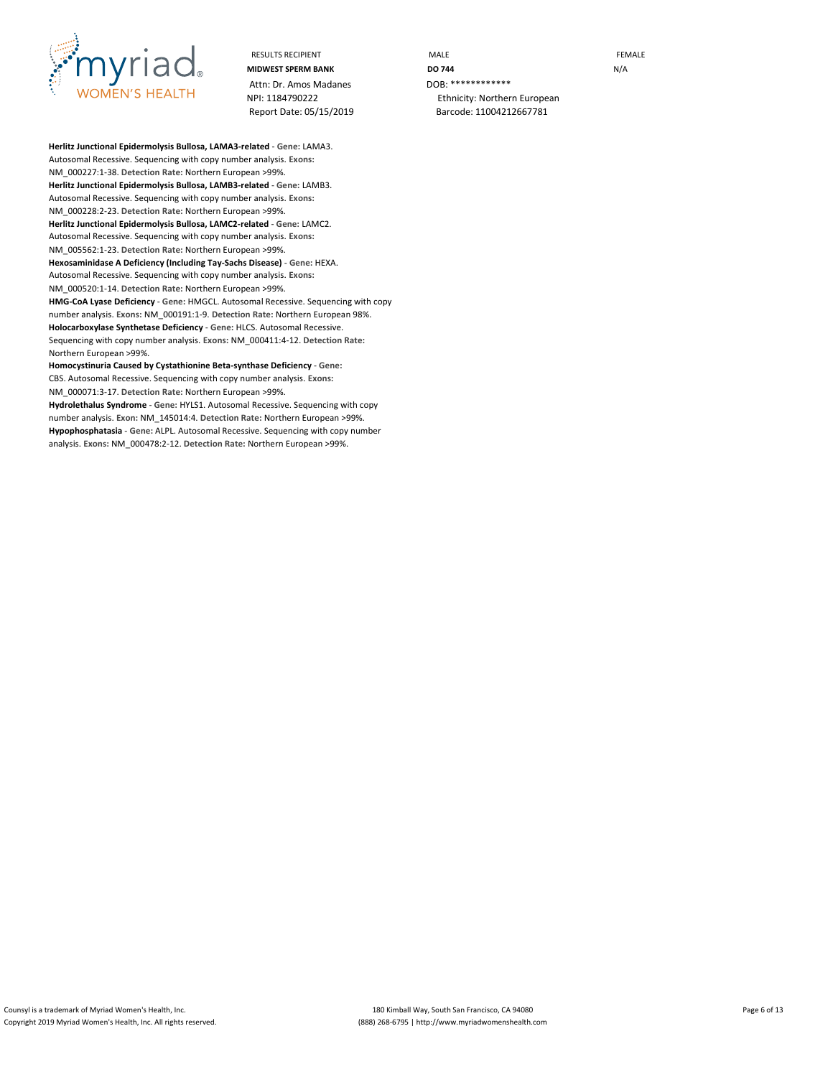

Attn: Dr. Amos Madanes<br>NPI: 1184790222

RESULTS RECIPIENT **EXAMPLE THE MALE RESULTS RECIPIENT MIDWEST SPERM BANK DO 744** N/A Ethnicity: Northern European Report Date: 05/15/2019 Barcode: 11004212667781

**Herlitz Junctional Epidermolysis Bullosa, LAMA3-related** - **Gene:** LAMA3. Autosomal Recessive. Sequencing with copy number analysis. **Exons:** NM\_000227:1-38. **Detection Rate:** Northern European >99%. **Herlitz Junctional Epidermolysis Bullosa, LAMB3-related** - **Gene:** LAMB3. Autosomal Recessive. Sequencing with copy number analysis. **Exons:** NM\_000228:2-23. **Detection Rate:** Northern European >99%. **Herlitz Junctional Epidermolysis Bullosa, LAMC2-related** - **Gene:** LAMC2. Autosomal Recessive. Sequencing with copy number analysis. **Exons:** NM\_005562:1-23. **Detection Rate:** Northern European >99%. **Hexosaminidase A Deficiency (Including Tay-Sachs Disease)** - **Gene:** HEXA. Autosomal Recessive. Sequencing with copy number analysis. **Exons:** NM\_000520:1-14. **Detection Rate:** Northern European >99%. **HMG-CoA Lyase Deficiency** - **Gene:** HMGCL. Autosomal Recessive. Sequencing with copy number analysis. **Exons:** NM\_000191:1-9. **Detection Rate:** Northern European 98%. **Holocarboxylase Synthetase Deficiency** - **Gene:** HLCS. Autosomal Recessive. Sequencing with copy number analysis. **Exons:** NM\_000411:4-12. **Detection Rate:** Northern European >99%.

**Homocystinuria Caused by Cystathionine Beta-synthase Deficiency** - **Gene:** CBS. Autosomal Recessive. Sequencing with copy number analysis. **Exons:** NM\_000071:3-17. **Detection Rate:** Northern European >99%.

**Hydrolethalus Syndrome** - **Gene:** HYLS1. Autosomal Recessive. Sequencing with copy number analysis. **Exon:** NM\_145014:4. **Detection Rate:** Northern European >99%. **Hypophosphatasia** - **Gene:** ALPL. Autosomal Recessive. Sequencing with copy number analysis. **Exons:** NM\_000478:2-12. **Detection Rate:** Northern European >99%.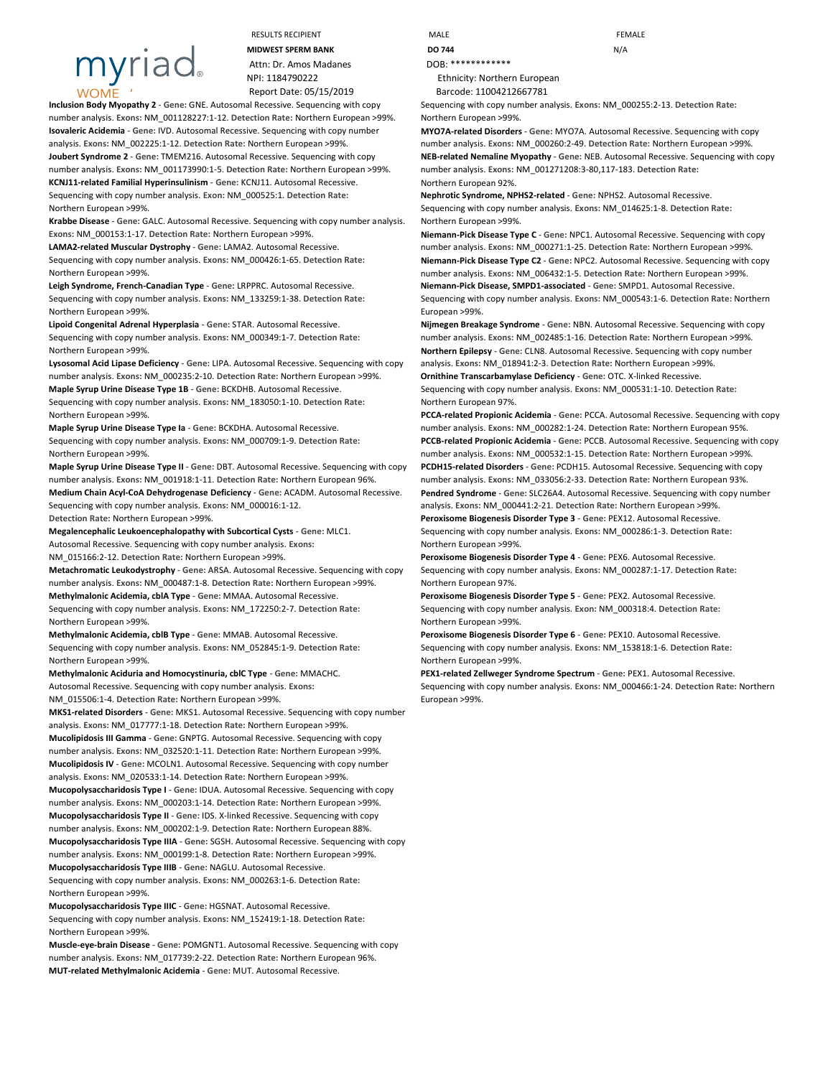# myriac

RESULTS RECIPIENT **MALE** MALE **MALE** FEMALE **MIDWEST SPERM BANK DO 744 DO** 744

Attn: Dr. Amos Madanes DOB: \*\*\*\*\*\*\*\*\*\*\*\*\* NPI: 1184790222 Ethnicity: Northern European Report Date: 05/15/2019 Barcode: 11004212667781

**Inclusion Body Myopathy 2** - **Gene:** GNE. Autosomal Recessive. Sequencing with copy number analysis. **Exons:** NM\_001128227:1-12. **Detection Rate:** Northern European >99%. **Isovaleric Acidemia** - **Gene:** IVD. Autosomal Recessive. Sequencing with copy number analysis. **Exons:** NM\_002225:1-12. **Detection Rate:** Northern European >99%. **Joubert Syndrome 2** - **Gene:** TMEM216. Autosomal Recessive. Sequencing with copy number analysis. **Exons:** NM\_001173990:1-5. **Detection Rate:** Northern European >99%.

**KCNJ11-related Familial Hyperinsulinism** - **Gene:** KCNJ11. Autosomal Recessive. Sequencing with copy number analysis. **Exon:** NM\_000525:1. **Detection Rate:** Northern European >99%.

**Krabbe Disease** - **Gene:** GALC. Autosomal Recessive. Sequencing with copy number analysis. **Exons:** NM\_000153:1-17. **Detection Rate:** Northern European >99%.

**LAMA2-related Muscular Dystrophy** - **Gene:** LAMA2. Autosomal Recessive. Sequencing with copy number analysis. **Exons:** NM\_000426:1-65. **Detection Rate:** Northern European >99%.

**Leigh Syndrome, French-Canadian Type** - **Gene:** LRPPRC. Autosomal Recessive. Sequencing with copy number analysis. **Exons:** NM\_133259:1-38. **Detection Rate:** Northern European >99%.

**Lipoid Congenital Adrenal Hyperplasia** - **Gene:** STAR. Autosomal Recessive. Sequencing with copy number analysis. **Exons:** NM\_000349:1-7. **Detection Rate:** Northern European >99%.

**Lysosomal Acid Lipase Deficiency** - **Gene:** LIPA. Autosomal Recessive. Sequencing with copy number analysis. **Exons:** NM\_000235:2-10. **Detection Rate:** Northern European >99%.

**Maple Syrup Urine Disease Type 1B** - **Gene:** BCKDHB. Autosomal Recessive. Sequencing with copy number analysis. **Exons:** NM\_183050:1-10. **Detection Rate:** Northern European >99%.

**Maple Syrup Urine Disease Type Ia** - **Gene:** BCKDHA. Autosomal Recessive. Sequencing with copy number analysis. **Exons:** NM\_000709:1-9. **Detection Rate:** Northern European >99%.

**Maple Syrup Urine Disease Type II** - **Gene:** DBT. Autosomal Recessive. Sequencing with copy number analysis. **Exons:** NM\_001918:1-11. **Detection Rate:** Northern European 96%. **Medium Chain Acyl-CoA Dehydrogenase Deficiency** - **Gene:** ACADM. Autosomal Recessive. Sequencing with copy number analysis. **Exons:** NM\_000016:1-12.

**Detection Rate:** Northern European >99%.

**Megalencephalic Leukoencephalopathy with Subcortical Cysts** - **Gene:** MLC1. Autosomal Recessive. Sequencing with copy number analysis. **Exons:** NM\_015166:2-12. **Detection Rate:** Northern European >99%. **Metachromatic Leukodystrophy** - **Gene:** ARSA. Autosomal Recessive. Sequencing with copy number analysis. **Exons:** NM\_000487:1-8. **Detection Rate:** Northern European >99%.

**Methylmalonic Acidemia, cblA Type** - **Gene:** MMAA. Autosomal Recessive. Sequencing with copy number analysis. **Exons:** NM\_172250:2-7. **Detection Rate:** Northern European >99%.

**Methylmalonic Acidemia, cblB Type** - **Gene:** MMAB. Autosomal Recessive. Sequencing with copy number analysis. **Exons:** NM\_052845:1-9. **Detection Rate:** Northern European >99%.

**Methylmalonic Aciduria and Homocystinuria, cblC Type** - **Gene:** MMACHC. Autosomal Recessive. Sequencing with copy number analysis. **Exons:**

NM\_015506:1-4. **Detection Rate:** Northern European >99%.

**MKS1-related Disorders** - **Gene:** MKS1. Autosomal Recessive. Sequencing with copy number analysis. **Exons:** NM\_017777:1-18. **Detection Rate:** Northern European >99%. **Mucolipidosis III Gamma** - **Gene:** GNPTG. Autosomal Recessive. Sequencing with copy number analysis. **Exons:** NM\_032520:1-11. **Detection Rate:** Northern European >99%. **Mucolipidosis IV** - **Gene:** MCOLN1. Autosomal Recessive. Sequencing with copy number analysis. **Exons:** NM\_020533:1-14. **Detection Rate:** Northern European >99%. **Mucopolysaccharidosis Type I** - **Gene:** IDUA. Autosomal Recessive. Sequencing with copy number analysis. **Exons:** NM\_000203:1-14. **Detection Rate:** Northern European >99%. **Mucopolysaccharidosis Type II** - **Gene:** IDS. X-linked Recessive. Sequencing with copy number analysis. **Exons:** NM\_000202:1-9. **Detection Rate:** Northern European 88%. **Mucopolysaccharidosis Type IIIA** - **Gene:** SGSH. Autosomal Recessive. Sequencing with copy number analysis. **Exons:** NM\_000199:1-8. **Detection Rate:** Northern European >99%. **Mucopolysaccharidosis Type IIIB** - **Gene:** NAGLU. Autosomal Recessive. Sequencing with copy number analysis. **Exons:** NM\_000263:1-6. **Detection Rate:** Northern European >99%.

**Mucopolysaccharidosis Type IIIC** - **Gene:** HGSNAT. Autosomal Recessive. Sequencing with copy number analysis. **Exons:** NM\_152419:1-18. **Detection Rate:** Northern European >99%.

**Muscle-eye-brain Disease** - **Gene:** POMGNT1. Autosomal Recessive. Sequencing with copy number analysis. **Exons:** NM\_017739:2-22. **Detection Rate:** Northern European 96%. **MUT-related Methylmalonic Acidemia** - **Gene:** MUT. Autosomal Recessive.

Sequencing with copy number analysis. **Exons:** NM\_000255:2-13. **Detection Rate:** Northern European >99%.

**MYO7A-related Disorders** - **Gene:** MYO7A. Autosomal Recessive. Sequencing with copy number analysis. **Exons:** NM\_000260:2-49. **Detection Rate:** Northern European >99%. **NEB-related Nemaline Myopathy** - **Gene:** NEB. Autosomal Recessive. Sequencing with copy number analysis. **Exons:** NM\_001271208:3-80,117-183. **Detection Rate:** Northern European 92%.

**Nephrotic Syndrome, NPHS2-related** - **Gene:** NPHS2. Autosomal Recessive. Sequencing with copy number analysis. **Exons:** NM\_014625:1-8. **Detection Rate:** Northern European >99%.

**Niemann-Pick Disease Type C** - **Gene:** NPC1. Autosomal Recessive. Sequencing with copy number analysis. **Exons:** NM\_000271:1-25. **Detection Rate:** Northern European >99%. **Niemann-Pick Disease Type C2** - **Gene:** NPC2. Autosomal Recessive. Sequencing with copy number analysis. **Exons:** NM\_006432:1-5. **Detection Rate:** Northern European >99%. **Niemann-Pick Disease, SMPD1-associated** - **Gene:** SMPD1. Autosomal Recessive. Sequencing with copy number analysis. **Exons:** NM\_000543:1-6. **Detection Rate:** Northern European >99%.

**Nijmegen Breakage Syndrome** - **Gene:** NBN. Autosomal Recessive. Sequencing with copy number analysis. **Exons:** NM\_002485:1-16. **Detection Rate:** Northern European >99%. **Northern Epilepsy** - **Gene:** CLN8. Autosomal Recessive. Sequencing with copy number

analysis. **Exons:** NM\_018941:2-3. **Detection Rate:** Northern European >99%. **Ornithine Transcarbamylase Deficiency** - **Gene:** OTC. X-linked Recessive.

Sequencing with copy number analysis. **Exons:** NM\_000531:1-10. **Detection Rate:** Northern European 97%.

**PCCA-related Propionic Acidemia** - **Gene:** PCCA. Autosomal Recessive. Sequencing with copy number analysis. **Exons:** NM\_000282:1-24. **Detection Rate:** Northern European 95%. **PCCB-related Propionic Acidemia** - **Gene:** PCCB. Autosomal Recessive. Sequencing with copy number analysis. **Exons:** NM\_000532:1-15. **Detection Rate:** Northern European >99%. **PCDH15-related Disorders** - **Gene:** PCDH15. Autosomal Recessive. Sequencing with copy number analysis. **Exons:** NM\_033056:2-33. **Detection Rate:** Northern European 93%. **Pendred Syndrome** - **Gene:** SLC26A4. Autosomal Recessive. Sequencing with copy number analysis. **Exons:** NM\_000441:2-21. **Detection Rate:** Northern European >99%.

**Peroxisome Biogenesis Disorder Type 3** - **Gene:** PEX12. Autosomal Recessive. Sequencing with copy number analysis. **Exons:** NM\_000286:1-3. **Detection Rate:** Northern European >99%.

**Peroxisome Biogenesis Disorder Type 4** - **Gene:** PEX6. Autosomal Recessive. Sequencing with copy number analysis. **Exons:** NM\_000287:1-17. **Detection Rate:** Northern European 97%.

**Peroxisome Biogenesis Disorder Type 5** - **Gene:** PEX2. Autosomal Recessive. Sequencing with copy number analysis. **Exon:** NM\_000318:4. **Detection Rate:** Northern European >99%.

**Peroxisome Biogenesis Disorder Type 6** - **Gene:** PEX10. Autosomal Recessive. Sequencing with copy number analysis. **Exons:** NM\_153818:1-6. **Detection Rate:** Northern European >99%.

**PEX1-related Zellweger Syndrome Spectrum** - **Gene:** PEX1. Autosomal Recessive. Sequencing with copy number analysis. **Exons:** NM\_000466:1-24. **Detection Rate:** Northern European >99%.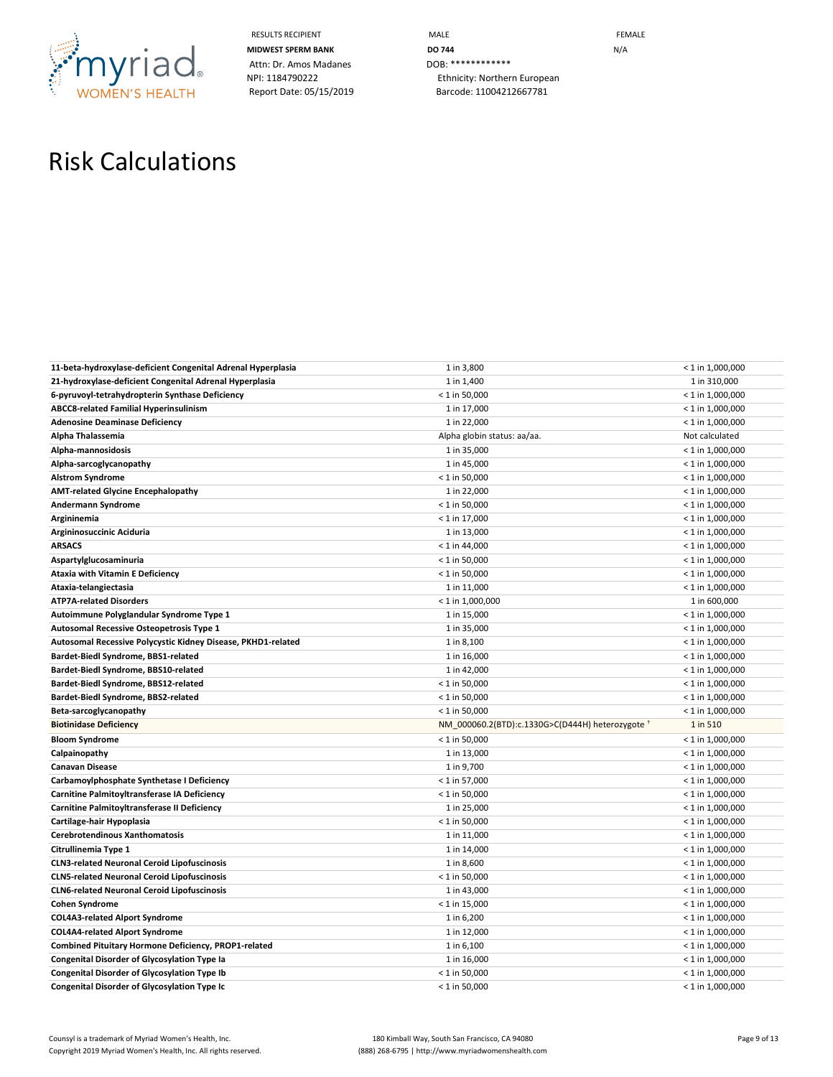

RESULTS RECIPIENT **EXAMPLE THE MALE RESULTS RECIPIENT MIDWEST SPERM BANK DO 744 DO 744 N**/A NPI: 1184790222 Ethnicity: Northern European Report Date: 05/15/2019 Barcode: 11004212667781

# Risk Calculations

| 11-beta-hydroxylase-deficient Congenital Adrenal Hyperplasia | 1 in 3,800                                       | $< 1$ in 1,000,000 |
|--------------------------------------------------------------|--------------------------------------------------|--------------------|
| 21-hydroxylase-deficient Congenital Adrenal Hyperplasia      | 1 in 1,400                                       | 1 in 310,000       |
| 6-pyruvoyl-tetrahydropterin Synthase Deficiency              | $< 1$ in 50,000                                  | $< 1$ in 1,000,000 |
| <b>ABCC8-related Familial Hyperinsulinism</b>                | 1 in 17,000                                      | $< 1$ in 1,000,000 |
| <b>Adenosine Deaminase Deficiency</b>                        | 1 in 22,000                                      | $< 1$ in 1,000,000 |
| Alpha Thalassemia                                            | Alpha globin status: aa/aa.                      | Not calculated     |
| Alpha-mannosidosis                                           | 1 in 35,000                                      | $< 1$ in 1,000,000 |
| Alpha-sarcoglycanopathy                                      | 1 in 45,000                                      | $<$ 1 in 1,000,000 |
| <b>Alstrom Syndrome</b>                                      | $< 1$ in 50,000                                  | $< 1$ in 1,000,000 |
| <b>AMT-related Glycine Encephalopathy</b>                    | 1 in 22,000                                      | $< 1$ in 1,000,000 |
| Andermann Syndrome                                           | $< 1$ in 50,000                                  | $< 1$ in 1,000,000 |
| Argininemia                                                  | $< 1$ in 17,000                                  | $<$ 1 in 1,000,000 |
| Argininosuccinic Aciduria                                    | 1 in 13,000                                      | $< 1$ in 1,000,000 |
| <b>ARSACS</b>                                                | $< 1$ in 44,000                                  | $< 1$ in 1,000,000 |
| Aspartylglucosaminuria                                       | $<$ 1 in 50,000                                  | $<$ 1 in 1,000,000 |
| <b>Ataxia with Vitamin E Deficiency</b>                      | $< 1$ in 50,000                                  | $< 1$ in 1,000,000 |
| Ataxia-telangiectasia                                        | 1 in 11,000                                      | $< 1$ in 1,000,000 |
| <b>ATP7A-related Disorders</b>                               | $< 1$ in 1,000,000                               | 1 in 600,000       |
| Autoimmune Polyglandular Syndrome Type 1                     | 1 in 15,000                                      | $< 1$ in 1,000,000 |
| Autosomal Recessive Osteopetrosis Type 1                     | 1 in 35,000                                      | $< 1$ in 1,000,000 |
| Autosomal Recessive Polycystic Kidney Disease, PKHD1-related | 1 in 8,100                                       | $< 1$ in 1,000,000 |
| Bardet-Biedl Syndrome, BBS1-related                          | 1 in 16,000                                      | $<$ 1 in 1,000,000 |
| Bardet-Biedl Syndrome, BBS10-related                         | 1 in 42,000                                      | $< 1$ in 1,000,000 |
| Bardet-Biedl Syndrome, BBS12-related                         | $< 1$ in 50,000                                  | $< 1$ in 1,000,000 |
| Bardet-Biedl Syndrome, BBS2-related                          | $< 1$ in 50,000                                  | $< 1$ in 1,000,000 |
| Beta-sarcoglycanopathy                                       | $< 1$ in 50,000                                  | $< 1$ in 1,000,000 |
| <b>Biotinidase Deficiency</b>                                | NM_000060.2(BTD):c.1330G>C(D444H) heterozygote + | 1 in 510           |
| <b>Bloom Syndrome</b>                                        | $< 1$ in 50,000                                  | $< 1$ in 1,000,000 |
| Calpainopathy                                                | 1 in 13,000                                      | $< 1$ in 1,000,000 |
| Canavan Disease                                              | 1 in 9,700                                       | $< 1$ in 1,000,000 |
| Carbamoylphosphate Synthetase I Deficiency                   | $< 1$ in 57,000                                  | $< 1$ in 1,000,000 |
| Carnitine Palmitoyltransferase IA Deficiency                 | $< 1$ in 50,000                                  | $< 1$ in 1,000,000 |
| Carnitine Palmitoyltransferase II Deficiency                 | 1 in 25,000                                      | $< 1$ in 1,000,000 |
| Cartilage-hair Hypoplasia                                    | $< 1$ in 50,000                                  | $< 1$ in 1,000,000 |
| Cerebrotendinous Xanthomatosis                               | 1 in 11,000                                      | $< 1$ in 1,000,000 |
| Citrullinemia Type 1                                         | 1 in 14,000                                      | $< 1$ in 1,000,000 |
| <b>CLN3-related Neuronal Ceroid Lipofuscinosis</b>           | 1 in 8,600                                       | $< 1$ in 1,000,000 |
| <b>CLN5-related Neuronal Ceroid Lipofuscinosis</b>           | $< 1$ in 50,000                                  | $< 1$ in 1,000,000 |
| <b>CLN6-related Neuronal Ceroid Lipofuscinosis</b>           | 1 in 43,000                                      | $< 1$ in 1,000,000 |
| <b>Cohen Syndrome</b>                                        | $< 1$ in 15,000                                  | $< 1$ in 1,000,000 |
| <b>COL4A3-related Alport Syndrome</b>                        | 1 in 6,200                                       | $< 1$ in 1,000,000 |
| <b>COL4A4-related Alport Syndrome</b>                        | 1 in 12,000                                      | $< 1$ in 1,000,000 |
| Combined Pituitary Hormone Deficiency, PROP1-related         | 1 in 6,100                                       | $<$ 1 in 1,000,000 |
| <b>Congenital Disorder of Glycosylation Type la</b>          | 1 in 16,000                                      | $< 1$ in 1,000,000 |
| <b>Congenital Disorder of Glycosylation Type Ib</b>          | $< 1$ in 50,000                                  | $< 1$ in 1,000,000 |
| <b>Congenital Disorder of Glycosylation Type Ic</b>          | $< 1$ in 50,000                                  | $< 1$ in 1,000,000 |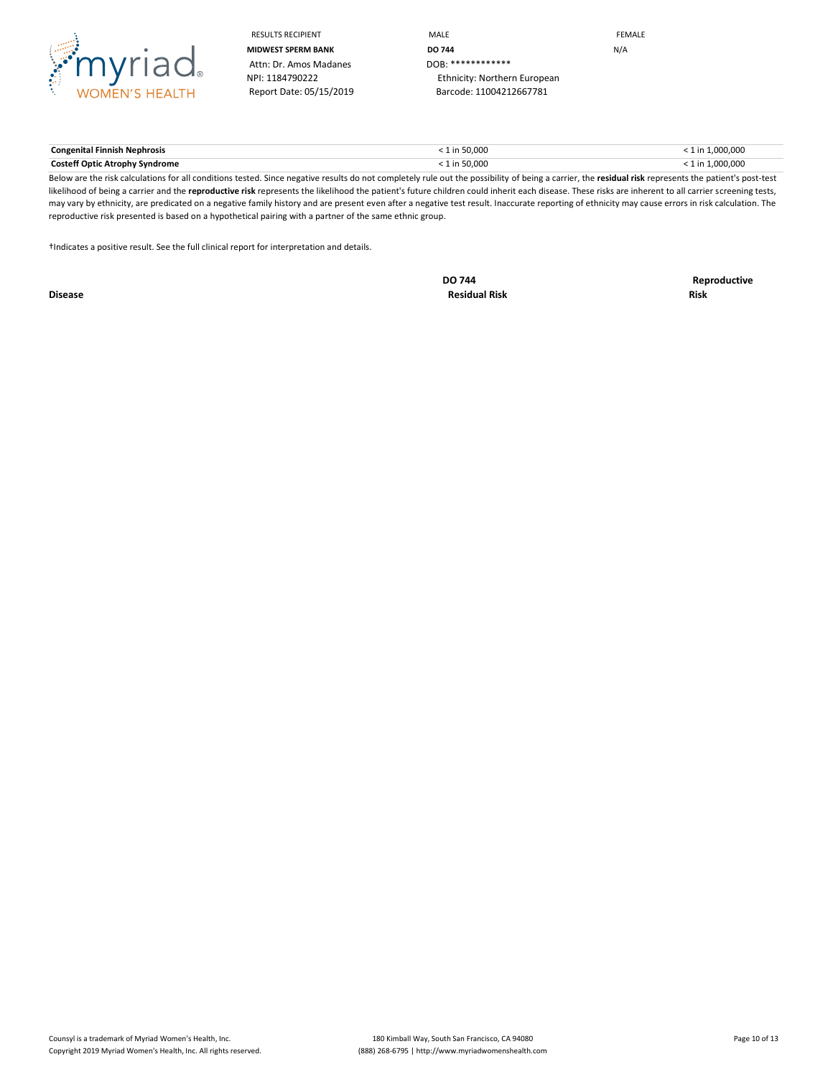

RESULTS RECIPIENT **A CONSTRUCT CONTROLLER TO A CONSTRUCT CONTROLLER TO A CONSTRUCT CONTROLLER TO A CONSTRUCT CONTROLLER TO A CONSTRUCT CONTROLLER TO A CONSTRUCT CONTROLLER TO A CONSTRUCT CONTROLLER TO A CONTROLLER TO A CON MIDWEST SPERM BANK DO 744 DO 744 N/A** NPI: 1184790222 Ethnicity: Northern European Report Date: 05/15/2019 Barcode: 11004212667781

**Congenital Finnish Nephrosis** < 1 in 50,000 < 1 in 1,000,000 **Costeff Optic Atrophy Syndrome**  $\leq 1$  in 50,000  $\leq 1$  in 50,000  $\leq 1$  in 1,000,000  $\leq 1$  in 1,000,000  $\leq 1$ 

Below are the risk calculations for all conditions tested. Since negative results do not completely rule out the possibility of being a carrier, the **residual risk** represents the patient's post-test likelihood of being a carrier and the reproductive risk represents the likelihood the patient's future children could inherit each disease. These risks are inherent to all carrier screening tests, may vary by ethnicity, are predicated on a negative family history and are present even after a negative test result. Inaccurate reporting of ethnicity may cause errors in risk calculation. The reproductive risk presented is based on a hypothetical pairing with a partner of the same ethnic group.

†Indicates a positive result. See the full clinical report for interpretation and details.

**Disease Residual Risk Risk**

**DO 744 Reproductive**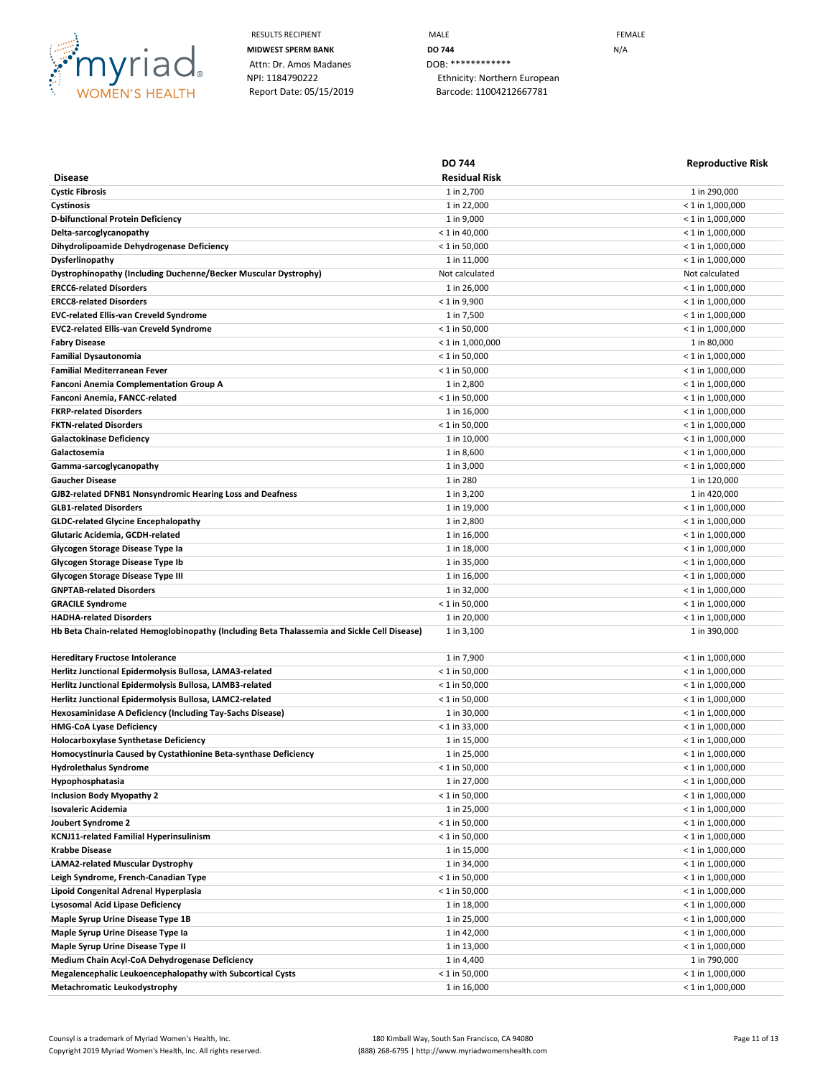

RESULTS RECIPIENT **MALE MALE EXAMPLE MIDWEST SPERM BANK DO 744 DO** 744 NPI: 1184790222 Ethnicity: Northern European Report Date: 05/15/2019 Barcode: 11004212667781

|                                                                                             | <b>DO 744</b>        | <b>Reproductive Risk</b> |
|---------------------------------------------------------------------------------------------|----------------------|--------------------------|
| <b>Disease</b>                                                                              | <b>Residual Risk</b> |                          |
| <b>Cystic Fibrosis</b>                                                                      | 1 in 2,700           | 1 in 290,000             |
| Cystinosis                                                                                  | 1 in 22,000          | $<$ 1 in 1,000,000       |
| D-bifunctional Protein Deficiency                                                           | 1 in 9,000           | $<$ 1 in 1,000,000       |
| Delta-sarcoglycanopathy                                                                     | $<$ 1 in 40,000      | $<$ 1 in 1,000,000       |
| Dihydrolipoamide Dehydrogenase Deficiency                                                   | $<$ 1 in 50,000      | $<$ 1 in 1,000,000       |
| Dysferlinopathy                                                                             | 1 in 11,000          | $<$ 1 in 1,000,000       |
| Dystrophinopathy (Including Duchenne/Becker Muscular Dystrophy)                             | Not calculated       | Not calculated           |
| <b>ERCC6-related Disorders</b>                                                              | 1 in 26,000          | $<$ 1 in 1,000,000       |
| <b>ERCC8-related Disorders</b>                                                              | $< 1$ in 9,900       | $<$ 1 in 1,000,000       |
| <b>EVC-related Ellis-van Creveld Syndrome</b>                                               | 1 in 7,500           | < 1 in 1,000,000         |
| <b>EVC2-related Ellis-van Creveld Syndrome</b>                                              | $<$ 1 in 50,000      | $<$ 1 in 1,000,000       |
| <b>Fabry Disease</b>                                                                        | $<$ 1 in 1,000,000   | 1 in 80,000              |
| <b>Familial Dysautonomia</b>                                                                | $<$ 1 in 50,000      | < 1 in 1,000,000         |
| <b>Familial Mediterranean Fever</b>                                                         | $<$ 1 in 50,000      | < 1 in 1,000,000         |
| Fanconi Anemia Complementation Group A                                                      | 1 in 2,800           | $<$ 1 in 1,000,000       |
| Fanconi Anemia, FANCC-related                                                               | $< 1$ in 50,000      | $<$ 1 in 1,000,000       |
| <b>FKRP-related Disorders</b>                                                               | 1 in 16,000          | $<$ 1 in 1,000,000       |
| <b>FKTN-related Disorders</b>                                                               | $< 1$ in 50,000      | $<$ 1 in 1,000,000       |
| <b>Galactokinase Deficiency</b>                                                             | 1 in 10,000          | $<$ 1 in 1,000,000       |
| Galactosemia                                                                                | 1 in 8,600           | < 1 in 1,000,000         |
| Gamma-sarcoglycanopathy                                                                     | 1 in 3,000           | < 1 in 1,000,000         |
| <b>Gaucher Disease</b>                                                                      | 1 in 280             | 1 in 120,000             |
| GJB2-related DFNB1 Nonsyndromic Hearing Loss and Deafness                                   | 1 in 3,200           | 1 in 420,000             |
| <b>GLB1-related Disorders</b>                                                               | 1 in 19,000          | < 1 in 1,000,000         |
| <b>GLDC-related Glycine Encephalopathy</b>                                                  | 1 in 2,800           | $<$ 1 in 1,000,000       |
| Glutaric Acidemia, GCDH-related                                                             | 1 in 16,000          | $<$ 1 in 1,000,000       |
| Glycogen Storage Disease Type la                                                            | 1 in 18,000          | $<$ 1 in 1,000,000       |
| Glycogen Storage Disease Type Ib                                                            | 1 in 35,000          | $<$ 1 in 1,000,000       |
| Glycogen Storage Disease Type III                                                           | 1 in 16,000          | < 1 in 1,000,000         |
| <b>GNPTAB-related Disorders</b>                                                             | 1 in 32,000          | $<$ 1 in 1,000,000       |
| <b>GRACILE Syndrome</b>                                                                     | $< 1$ in 50,000      | $<$ 1 in 1,000,000       |
| <b>HADHA-related Disorders</b>                                                              | 1 in 20,000          | < 1 in 1,000,000         |
| Hb Beta Chain-related Hemoglobinopathy (Including Beta Thalassemia and Sickle Cell Disease) | 1 in 3,100           | 1 in 390,000             |
|                                                                                             |                      |                          |
| Hereditary Fructose Intolerance                                                             | 1 in 7,900           | < 1 in 1,000,000         |
| Herlitz Junctional Epidermolysis Bullosa, LAMA3-related                                     | $<$ 1 in 50,000      | $<$ 1 in 1,000,000       |
| Herlitz Junctional Epidermolysis Bullosa, LAMB3-related                                     | $<$ 1 in 50,000      | $<$ 1 in 1,000,000       |
| Herlitz Junctional Epidermolysis Bullosa, LAMC2-related                                     | $<$ 1 in 50,000      | $<$ 1 in 1,000,000       |
| Hexosaminidase A Deficiency (Including Tay-Sachs Disease)                                   | 1 in 30,000          | $<$ 1 in 1,000,000       |
| <b>HMG-CoA Lyase Deficiency</b>                                                             | $<$ 1 in 33,000      | $<$ 1 in 1,000,000       |
| Holocarboxylase Synthetase Deficiency                                                       | 1 in 15,000          | $<$ 1 in 1,000,000       |
| Homocystinuria Caused by Cystathionine Beta-synthase Deficiency                             | 1 in 25,000          | $<$ 1 in 1,000,000       |
| <b>Hydrolethalus Syndrome</b>                                                               | $< 1$ in 50,000      | $< 1$ in 1,000,000       |
| Hypophosphatasia                                                                            | 1 in 27,000          | $< 1$ in 1,000,000       |
| <b>Inclusion Body Myopathy 2</b>                                                            | $< 1$ in 50,000      | $< 1$ in 1,000,000       |
| Isovaleric Acidemia                                                                         | 1 in 25,000          | $< 1$ in 1,000,000       |
| Joubert Syndrome 2                                                                          | $< 1$ in 50,000      | $<$ 1 in 1,000,000       |
| KCNJ11-related Familial Hyperinsulinism                                                     | $< 1$ in 50,000      | $< 1$ in 1,000,000       |
| Krabbe Disease                                                                              | 1 in 15,000          | $<$ 1 in 1,000,000       |
| LAMA2-related Muscular Dystrophy                                                            | 1 in 34,000          | $< 1$ in 1,000,000       |
| Leigh Syndrome, French-Canadian Type                                                        | $< 1$ in 50,000      | $< 1$ in 1,000,000       |
| Lipoid Congenital Adrenal Hyperplasia                                                       | $< 1$ in 50,000      | $<$ 1 in 1,000,000       |
| Lysosomal Acid Lipase Deficiency                                                            | 1 in 18,000          | $<$ 1 in 1,000,000       |
| Maple Syrup Urine Disease Type 1B                                                           | 1 in 25,000          | < 1 in 1,000,000         |
| Maple Syrup Urine Disease Type Ia                                                           | 1 in 42,000          | $<$ 1 in 1,000,000       |
| Maple Syrup Urine Disease Type II                                                           | 1 in 13,000          | $<$ 1 in 1,000,000       |
| Medium Chain Acyl-CoA Dehydrogenase Deficiency                                              | 1 in 4,400           | 1 in 790,000             |
| Megalencephalic Leukoencephalopathy with Subcortical Cysts                                  | $< 1$ in 50,000      | $<$ 1 in 1,000,000       |
| Metachromatic Leukodystrophy                                                                | 1 in 16,000          | $< 1$ in 1,000,000       |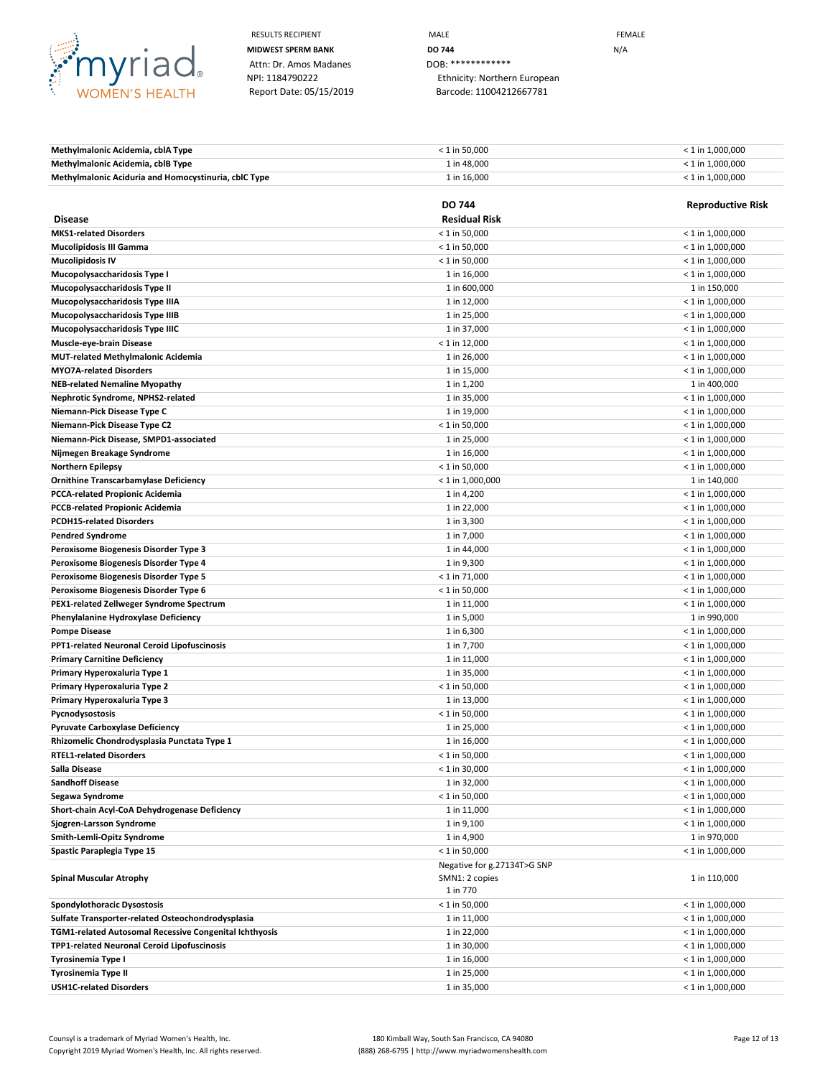

Attn: Dr. Amos Madanes DOB: \*\*\*\*\*\*\*\*\*\*\*\*\*\*<br>NPI: 1184790222 Ethnicity: Norther

RESULTS RECIPIENT **MALE MALE EXAMPLE MIDWEST SPERM BANK DO 744 DO 744 N**/A NPI: 1184790222 Ethnicity: Northern European Report Date: 05/15/2019 Barcode: 11004212667781

| Methylmalonic Acidemia, cblA Type                    | $< 1$ in 50.000 | $<$ 1 in 1.000.000 |
|------------------------------------------------------|-----------------|--------------------|
| Methylmalonic Acidemia, cblB Type                    | 1 in 48.000     | $<$ 1 in 1.000.000 |
| Methylmalonic Aciduria and Homocystinuria, cblC Type | 1 in 16.000     | $<$ 1 in 1.000.000 |

|                                                        | <b>DO 744</b>                                             | <b>Reproductive Risk</b> |
|--------------------------------------------------------|-----------------------------------------------------------|--------------------------|
| <b>Disease</b>                                         | <b>Residual Risk</b>                                      |                          |
| <b>MKS1-related Disorders</b>                          | $< 1$ in 50,000                                           | $<$ 1 in 1,000,000       |
| <b>Mucolipidosis III Gamma</b>                         | $< 1$ in 50,000                                           | $< 1$ in 1,000,000       |
| <b>Mucolipidosis IV</b>                                | $< 1$ in 50,000                                           | $<$ 1 in 1,000,000       |
| Mucopolysaccharidosis Type I                           | 1 in 16,000                                               | $< 1$ in 1,000,000       |
| Mucopolysaccharidosis Type II                          | 1 in 600,000                                              | 1 in 150,000             |
| Mucopolysaccharidosis Type IIIA                        | 1 in 12,000                                               | $< 1$ in 1,000,000       |
| Mucopolysaccharidosis Type IIIB                        | 1 in 25,000                                               | $<$ 1 in 1,000,000       |
| Mucopolysaccharidosis Type IIIC                        | 1 in 37,000                                               | $<$ 1 in 1,000,000       |
| <b>Muscle-eye-brain Disease</b>                        | $< 1$ in 12,000                                           | $<$ 1 in 1,000,000       |
| <b>MUT-related Methylmalonic Acidemia</b>              | 1 in 26,000                                               | $< 1$ in 1,000,000       |
| <b>MYO7A-related Disorders</b>                         | 1 in 15,000                                               | $<$ 1 in 1,000,000       |
| <b>NEB-related Nemaline Myopathy</b>                   | 1 in 1,200                                                | 1 in 400,000             |
| Nephrotic Syndrome, NPHS2-related                      | 1 in 35,000                                               | $< 1$ in 1,000,000       |
| Niemann-Pick Disease Type C                            | 1 in 19,000                                               | $< 1$ in 1,000,000       |
| Niemann-Pick Disease Type C2                           | $<$ 1 in 50,000                                           | $<$ 1 in 1,000,000       |
| Niemann-Pick Disease, SMPD1-associated                 | 1 in 25,000                                               | $<$ 1 in 1,000,000       |
| Nijmegen Breakage Syndrome                             | 1 in 16,000                                               | $<$ 1 in 1,000,000       |
| <b>Northern Epilepsy</b>                               | $<$ 1 in 50,000                                           | $<$ 1 in 1,000,000       |
| Ornithine Transcarbamylase Deficiency                  | $< 1$ in 1,000,000                                        | 1 in 140,000             |
| <b>PCCA-related Propionic Acidemia</b>                 | 1 in 4,200                                                | $<$ 1 in 1,000,000       |
| <b>PCCB-related Propionic Acidemia</b>                 | 1 in 22,000                                               | $< 1$ in 1,000,000       |
| <b>PCDH15-related Disorders</b>                        | 1 in 3,300                                                | $<$ 1 in 1,000,000       |
| <b>Pendred Syndrome</b>                                | 1 in 7,000                                                | $<$ 1 in 1,000,000       |
| Peroxisome Biogenesis Disorder Type 3                  | 1 in 44,000                                               | $<$ 1 in 1,000,000       |
| Peroxisome Biogenesis Disorder Type 4                  | 1 in 9,300                                                | $<$ 1 in 1,000,000       |
| Peroxisome Biogenesis Disorder Type 5                  | $< 1$ in 71,000                                           | $<$ 1 in 1,000,000       |
| Peroxisome Biogenesis Disorder Type 6                  | $< 1$ in 50,000                                           | $<$ 1 in 1,000,000       |
| PEX1-related Zellweger Syndrome Spectrum               | 1 in 11,000                                               | $<$ 1 in 1,000,000       |
| Phenylalanine Hydroxylase Deficiency                   | 1 in 5,000                                                | 1 in 990,000             |
| <b>Pompe Disease</b>                                   | 1 in 6,300                                                | $<$ 1 in 1,000,000       |
| <b>PPT1-related Neuronal Ceroid Lipofuscinosis</b>     | 1 in 7,700                                                | $<$ 1 in 1,000,000       |
| <b>Primary Carnitine Deficiency</b>                    | 1 in 11,000                                               | $<$ 1 in 1,000,000       |
| Primary Hyperoxaluria Type 1                           | 1 in 35,000                                               | $<$ 1 in 1,000,000       |
| Primary Hyperoxaluria Type 2                           | $<$ 1 in 50,000                                           | $<$ 1 in 1,000,000       |
| Primary Hyperoxaluria Type 3                           | 1 in 13,000                                               | $< 1$ in 1,000,000       |
| Pycnodysostosis                                        | $< 1$ in 50,000                                           | $< 1$ in 1,000,000       |
| <b>Pyruvate Carboxylase Deficiency</b>                 | 1 in 25,000                                               | $<$ 1 in 1,000,000       |
| Rhizomelic Chondrodysplasia Punctata Type 1            | 1 in 16,000                                               | $< 1$ in 1,000,000       |
| <b>RTEL1-related Disorders</b>                         | $< 1$ in 50,000                                           | $<$ 1 in 1,000,000       |
| Salla Disease                                          | $< 1$ in 30,000                                           | $< 1$ in 1,000,000       |
| <b>Sandhoff Disease</b>                                | 1 in 32,000                                               | $<$ 1 in 1,000,000       |
| Segawa Syndrome                                        | $< 1$ in 50,000                                           | $<$ 1 in 1,000,000       |
| Short-chain Acyl-CoA Dehydrogenase Deficiency          | 1 in 11,000                                               | $< 1$ in 1,000,000       |
| Sjogren-Larsson Syndrome                               | 1 in 9,100                                                | $<$ 1 in 1,000,000       |
| Smith-Lemli-Opitz Syndrome                             | 1 in 4,900                                                | 1 in 970,000             |
| Spastic Paraplegia Type 15                             | $< 1$ in 50,000                                           | $<$ 1 in 1,000,000       |
| Spinal Muscular Atrophy                                | Negative for g.27134T>G SNP<br>SMN1: 2 copies<br>1 in 770 | 1 in 110,000             |
| Spondylothoracic Dysostosis                            | $< 1$ in 50,000                                           | $<$ 1 in 1,000,000       |
| Sulfate Transporter-related Osteochondrodysplasia      | 1 in 11,000                                               | $<$ 1 in 1,000,000       |
| TGM1-related Autosomal Recessive Congenital Ichthyosis | 1 in 22,000                                               | $< 1$ in 1,000,000       |
| TPP1-related Neuronal Ceroid Lipofuscinosis            | 1 in 30,000                                               | $<$ 1 in 1,000,000       |
| Tyrosinemia Type I                                     | 1 in 16,000                                               | $< 1$ in 1,000,000       |
| <b>Tyrosinemia Type II</b>                             | 1 in 25,000                                               | $<$ 1 in 1,000,000       |
| <b>USH1C-related Disorders</b>                         | 1 in 35,000                                               | $<$ 1 in 1,000,000       |